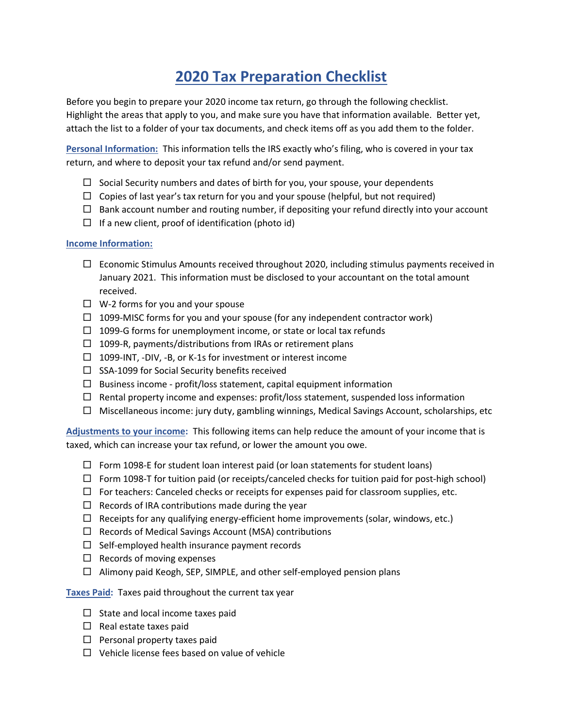## 2020 Tax Preparation Checklist

Before you begin to prepare your 2020 income tax return, go through the following checklist. Highlight the areas that apply to you, and make sure you have that information available. Better yet, attach the list to a folder of your tax documents, and check items off as you add them to the folder.

Personal Information: This information tells the IRS exactly who's filing, who is covered in your tax return, and where to deposit your tax refund and/or send payment.

- $\Box$  Social Security numbers and dates of birth for you, your spouse, your dependents
- $\Box$  Copies of last year's tax return for you and your spouse (helpful, but not required)
- $\Box$  Bank account number and routing number, if depositing your refund directly into your account
- $\Box$  If a new client, proof of identification (photo id)

## Income Information:

- $\Box$  Economic Stimulus Amounts received throughout 2020, including stimulus payments received in January 2021. This information must be disclosed to your accountant on the total amount received.
- $\Box$  W-2 forms for you and your spouse
- $\Box$  1099-MISC forms for you and your spouse (for any independent contractor work)
- $\Box$  1099-G forms for unemployment income, or state or local tax refunds
- $\Box$  1099-R, payments/distributions from IRAs or retirement plans
- $\Box$  1099-INT, -DIV, -B, or K-1s for investment or interest income
- $\square$  SSA-1099 for Social Security benefits received
- $\square$  Business income profit/loss statement, capital equipment information
- $\Box$  Rental property income and expenses: profit/loss statement, suspended loss information
- $\Box$  Miscellaneous income: jury duty, gambling winnings, Medical Savings Account, scholarships, etc

Adjustments to your income: This following items can help reduce the amount of your income that is taxed, which can increase your tax refund, or lower the amount you owe.

- $\Box$  Form 1098-E for student loan interest paid (or loan statements for student loans)
- $\Box$  Form 1098-T for tuition paid (or receipts/canceled checks for tuition paid for post-high school)
- $\Box$  For teachers: Canceled checks or receipts for expenses paid for classroom supplies, etc.
- $\Box$  Records of IRA contributions made during the year
- $\Box$  Receipts for any qualifying energy-efficient home improvements (solar, windows, etc.)
- $\Box$  Records of Medical Savings Account (MSA) contributions
- $\Box$  Self-employed health insurance payment records
- $\Box$  Records of moving expenses
- Alimony paid Keogh, SEP, SIMPLE, and other self-employed pension plans

Taxes Paid: Taxes paid throughout the current tax year

- $\Box$  State and local income taxes paid
- $\Box$  Real estate taxes paid
- $\square$  Personal property taxes paid
- $\Box$  Vehicle license fees based on value of vehicle